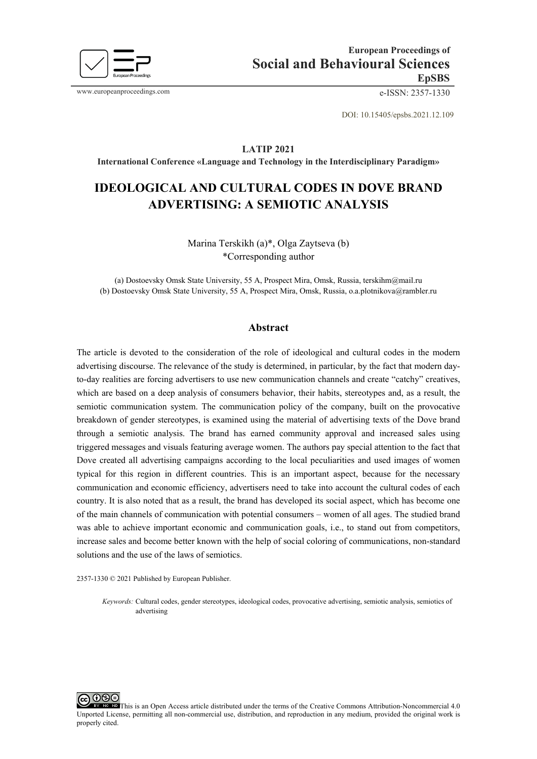

www.europeanproceedings.com e-ISSN: 2357-1330

DOI: 10.15405/epsbs.2021.12.109

#### **LATIP 2021**

**International Conference «Language and Technology in the Interdisciplinary Paradigm»**

# **IDEOLOGICAL AND CULTURAL CODES IN DOVE BRAND ADVERTISING: A SEMIOTIC ANALYSIS**

Marina Terskikh (a)\*, Olga Zaytseva (b) \*Corresponding author

(a) Dostoevsky Omsk State University, 55 A, Prospect Mira, Omsk, Russia[, terskihm@mail.ru](mailto:terskihm@mail.ru) (b) Dostoevsky Omsk State University, 55 A, Prospect Mira, Omsk, Russia, [o.a.plotnikova@rambler.ru](mailto:terskihm@mail.ru)

#### **Abstract**

The article is devoted to the consideration of the role of ideological and cultural codes in the modern advertising discourse. The relevance of the study is determined, in particular, by the fact that modern dayto-day realities are forcing advertisers to use new communication channels and create "catchy" creatives, which are based on a deep analysis of consumers behavior, their habits, stereotypes and, as a result, the semiotic communication system. The communication policy of the company, built on the provocative breakdown of gender stereotypes, is examined using the material of advertising texts of the Dove brand through a semiotic analysis. The brand has earned community approval and increased sales using triggered messages and visuals featuring average women. The authors pay special attention to the fact that Dove created all advertising campaigns according to the local peculiarities and used images of women typical for this region in different countries. This is an important aspect, because for the necessary communication and economic efficiency, advertisers need to take into account the cultural codes of each country. It is also noted that as a result, the brand has developed its social aspect, which has become one of the main channels of communication with potential consumers – women of all ages. The studied brand was able to achieve important economic and communication goals, i.e., to stand out from competitors, increase sales and become better known with the help of social coloring of communications, non-standard solutions and the use of the laws of semiotics.

2357-1330 © 2021 Published by European Publisher.

*Keywords:* Cultural codes, gender stereotypes, ideological codes, provocative advertising, semiotic analysis, semiotics of advertising

⊚⊛⊜ This is an Open Access article distributed under the terms of the Creative Commons Attribution-Noncommercial 4.0 Unported License, permitting all non-commercial use, distribution, and reproduction in any medium, provided the original work is properly cited.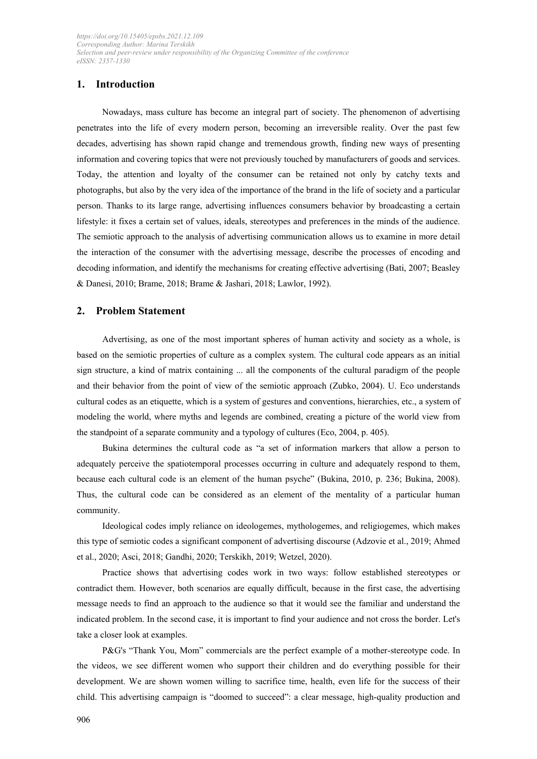# **1. Introduction**

Nowadays, mass culture has become an integral part of society. The phenomenon of advertising penetrates into the life of every modern person, becoming an irreversible reality. Over the past few decades, advertising has shown rapid change and tremendous growth, finding new ways of presenting information and covering topics that were not previously touched by manufacturers of goods and services. Today, the attention and loyalty of the consumer can be retained not only by catchy texts and photographs, but also by the very idea of the importance of the brand in the life of society and a particular person. Thanks to its large range, advertising influences consumers behavior by broadcasting a certain lifestyle: it fixes a certain set of values, ideals, stereotypes and preferences in the minds of the audience. The semiotic approach to the analysis of advertising communication allows us to examine in more detail the interaction of the consumer with the advertising message, describe the processes of encoding and decoding information, and identify the mechanisms for creating effective advertising (Bati, 2007; Beasley & Danesi, 2010; Brame, 2018; Brame & Jashari, 2018; Lawlor, 1992).

### **2. Problem Statement**

Advertising, as one of the most important spheres of human activity and society as a whole, is based on the semiotic properties of culture as a complex system. The cultural code appears as an initial sign structure, a kind of matrix containing ... all the components of the cultural paradigm of the people and their behavior from the point of view of the semiotic approach (Zubko, 2004). U. Eco understands cultural codes as an etiquette, which is a system of gestures and conventions, hierarchies, etc., a system of modeling the world, where myths and legends are combined, creating a picture of the world view from the standpoint of a separate community and a typology of cultures (Eco, 2004, p. 405).

Bukina determines the cultural code as "a set of information markers that allow a person to adequately perceive the spatiotemporal processes occurring in culture and adequately respond to them, because each cultural code is an element of the human psyche" (Bukina, 2010, p. 236; Bukina, 2008). Thus, the cultural code can be considered as an element of the mentality of a particular human community.

Ideological codes imply reliance on ideologemes, mythologemes, and religiogemes, which makes this type of semiotic codes a significant component of advertising discourse (Adzovie et al., 2019; Ahmed et al., 2020; Asci, 2018; Gandhi, 2020; Terskikh, 2019; Wetzel, 2020).

Practice shows that advertising codes work in two ways: follow established stereotypes or contradict them. However, both scenarios are equally difficult, because in the first case, the advertising message needs to find an approach to the audience so that it would see the familiar and understand the indicated problem. In the second case, it is important to find your audience and not cross the border. Let's take a closer look at examples.

P&G's "Thank You, Mom" commercials are the perfect example of a mother-stereotype code. In the videos, we see different women who support their children and do everything possible for their development. We are shown women willing to sacrifice time, health, even life for the success of their child. This advertising campaign is "doomed to succeed": a clear message, high-quality production and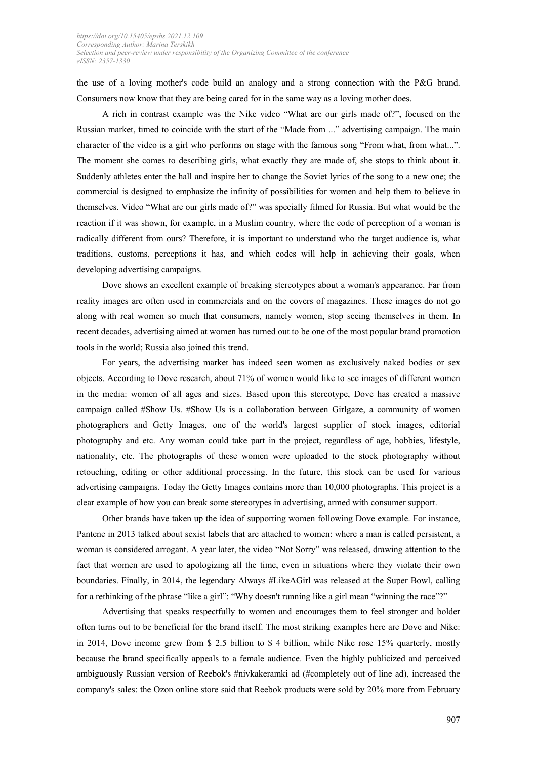the use of a loving mother's code build an analogy and a strong connection with the P&G brand. Consumers now know that they are being cared for in the same way as a loving mother does.

A rich in contrast example was the Nike video "What are our girls made of?", focused on the Russian market, timed to coincide with the start of the "Made from ..." advertising campaign. The main character of the video is a girl who performs on stage with the famous song "From what, from what...". The moment she comes to describing girls, what exactly they are made of, she stops to think about it. Suddenly athletes enter the hall and inspire her to change the Soviet lyrics of the song to a new one; the commercial is designed to emphasize the infinity of possibilities for women and help them to believe in themselves. Video "What are our girls made of?" was specially filmed for Russia. But what would be the reaction if it was shown, for example, in a Muslim country, where the code of perception of a woman is radically different from ours? Therefore, it is important to understand who the target audience is, what traditions, customs, perceptions it has, and which codes will help in achieving their goals, when developing advertising campaigns.

Dove shows an excellent example of breaking stereotypes about a woman's appearance. Far from reality images are often used in commercials and on the covers of magazines. These images do not go along with real women so much that consumers, namely women, stop seeing themselves in them. In recent decades, advertising aimed at women has turned out to be one of the most popular brand promotion tools in the world; Russia also joined this trend.

For years, the advertising market has indeed seen women as exclusively naked bodies or sex objects. According to Dove research, about 71% of women would like to see images of different women in the media: women of all ages and sizes. Based upon this stereotype, Dove has created a massive campaign called #Show Us. #Show Us is a collaboration between Girlgaze, a community of women photographers and Getty Images, one of the world's largest supplier of stock images, editorial photography and etc. Any woman could take part in the project, regardless of age, hobbies, lifestyle, nationality, etc. The photographs of these women were uploaded to the stock photography without retouching, editing or other additional processing. In the future, this stock can be used for various advertising campaigns. Today the Getty Images contains more than 10,000 photographs. This project is a clear example of how you can break some stereotypes in advertising, armed with consumer support.

Other brands have taken up the idea of supporting women following Dove example. For instance, Pantene in 2013 talked about sexist labels that are attached to women: where a man is called persistent, a woman is considered arrogant. A year later, the video "Not Sorry" was released, drawing attention to the fact that women are used to apologizing all the time, even in situations where they violate their own boundaries. Finally, in 2014, the legendary Always #LikeAGirl was released at the Super Bowl, calling for a rethinking of the phrase "like a girl": "Why doesn't running like a girl mean "winning the race"?"

Advertising that speaks respectfully to women and encourages them to feel stronger and bolder often turns out to be beneficial for the brand itself. The most striking examples here are Dove and Nike: in 2014, Dove income grew from \$ 2.5 billion to \$ 4 billion, while Nike rose 15% quarterly, mostly because the brand specifically appeals to a female audience. Even the highly publicized and perceived ambiguously Russian version of Reebok's #nivkakeramki ad (#completely out of line ad), increased the company's sales: the Ozon online store said that Reebok products were sold by 20% more from February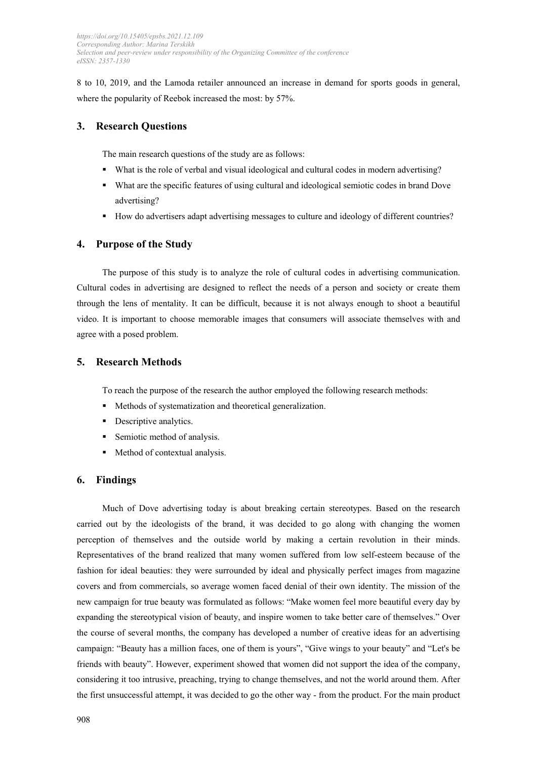8 to 10, 2019, and the Lamoda retailer announced an increase in demand for sports goods in general, where the popularity of Reebok increased the most: by 57%.

# **3. Research Questions**

The main research questions of the study are as follows:

- What is the role of verbal and visual ideological and cultural codes in modern advertising?
- What are the specific features of using cultural and ideological semiotic codes in brand Dove advertising?
- **How do advertisers adapt advertising messages to culture and ideology of different countries?**

## **4. Purpose of the Study**

The purpose of this study is to analyze the role of cultural codes in advertising communication. Cultural codes in advertising are designed to reflect the needs of a person and society or create them through the lens of mentality. It can be difficult, because it is not always enough to shoot a beautiful video. It is important to choose memorable images that consumers will associate themselves with and agree with a posed problem.

# **5. Research Methods**

To reach the purpose of the research the author employed the following research methods:

- Methods of systematization and theoretical generalization.
- **Descriptive analytics.**
- **Semiotic method of analysis.**
- Method of contextual analysis.

## **6. Findings**

Much of Dove advertising today is about breaking certain stereotypes. Based on the research carried out by the ideologists of the brand, it was decided to go along with changing the women perception of themselves and the outside world by making a certain revolution in their minds. Representatives of the brand realized that many women suffered from low self-esteem because of the fashion for ideal beauties: they were surrounded by ideal and physically perfect images from magazine covers and from commercials, so average women faced denial of their own identity. The mission of the new campaign for true beauty was formulated as follows: "Make women feel more beautiful every day by expanding the stereotypical vision of beauty, and inspire women to take better care of themselves." Over the course of several months, the company has developed a number of creative ideas for an advertising campaign: "Beauty has a million faces, one of them is yours", "Give wings to your beauty" and "Let's be friends with beauty". However, experiment showed that women did not support the idea of the company, considering it too intrusive, preaching, trying to change themselves, and not the world around them. After the first unsuccessful attempt, it was decided to go the other way - from the product. For the main product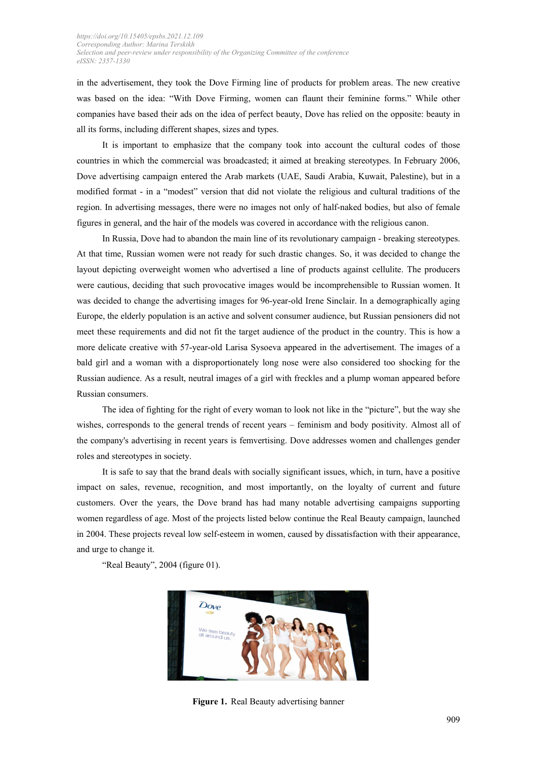in the advertisement, they took the Dove Firming line of products for problem areas. The new creative was based on the idea: "With Dove Firming, women can flaunt their feminine forms." While other companies have based their ads on the idea of perfect beauty, Dove has relied on the opposite: beauty in all its forms, including different shapes, sizes and types.

It is important to emphasize that the company took into account the cultural codes of those countries in which the commercial was broadcasted; it aimed at breaking stereotypes. In February 2006, Dove advertising campaign entered the Arab markets (UAE, Saudi Arabia, Kuwait, Palestine), but in a modified format - in a "modest" version that did not violate the religious and cultural traditions of the region. In advertising messages, there were no images not only of half-naked bodies, but also of female figures in general, and the hair of the models was covered in accordance with the religious canon.

In Russia, Dove had to abandon the main line of its revolutionary campaign - breaking stereotypes. At that time, Russian women were not ready for such drastic changes. So, it was decided to change the layout depicting overweight women who advertised a line of products against cellulite. The producers were cautious, deciding that such provocative images would be incomprehensible to Russian women. It was decided to change the advertising images for 96-year-old Irene Sinclair. In a demographically aging Europe, the elderly population is an active and solvent consumer audience, but Russian pensioners did not meet these requirements and did not fit the target audience of the product in the country. This is how a more delicate creative with 57-year-old Larisa Sysoeva appeared in the advertisement. The images of a bald girl and a woman with a disproportionately long nose were also considered too shocking for the Russian audience. As a result, neutral images of a girl with freckles and a plump woman appeared before Russian consumers.

The idea of fighting for the right of every woman to look not like in the "picture", but the way she wishes, corresponds to the general trends of recent years – feminism and body positivity. Almost all of the company's advertising in recent years is femvertising. Dove addresses women and challenges gender roles and stereotypes in society.

It is safe to say that the brand deals with socially significant issues, which, in turn, have a positive impact on sales, revenue, recognition, and most importantly, on the loyalty of current and future customers. Over the years, the Dove brand has had many notable advertising campaigns supporting women regardless of age. Most of the projects listed below continue the Real Beauty campaign, launched in 2004. These projects reveal low self-esteem in women, caused by dissatisfaction with their appearance, and urge to change it.

"Real Beauty", 2004 (figure 01).



**Figure 1.** Real Beauty advertising banner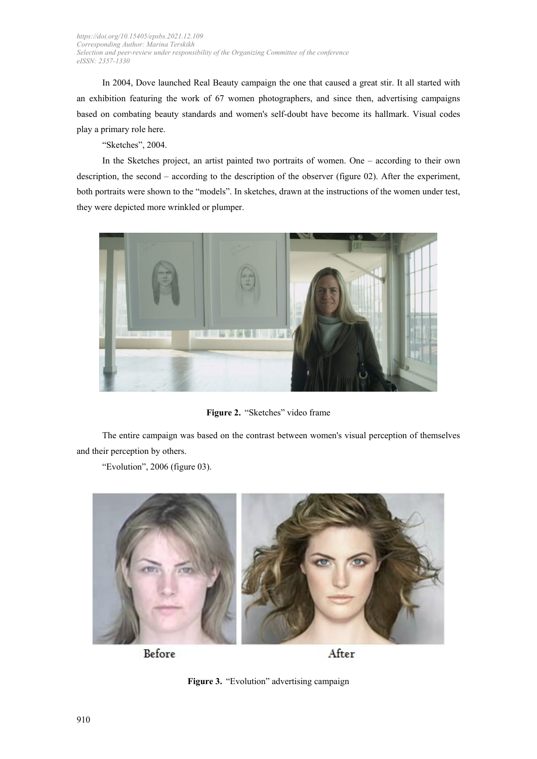In 2004, Dove launched Real Beauty campaign the one that caused a great stir. It all started with an exhibition featuring the work of 67 women photographers, and since then, advertising campaigns based on combating beauty standards and women's self-doubt have become its hallmark. Visual codes play a primary role here.

"Sketches", 2004.

In the Sketches project, an artist painted two portraits of women. One – according to their own description, the second – according to the description of the observer (figure 02). After the experiment, both portraits were shown to the "models". In sketches, drawn at the instructions of the women under test, they were depicted more wrinkled or plumper.



Figure 2. "Sketches" video frame

The entire campaign was based on the contrast between women's visual perception of themselves and their perception by others.

"Evolution", 2006 (figure 03).



Before

After

Figure 3. "Evolution" advertising campaign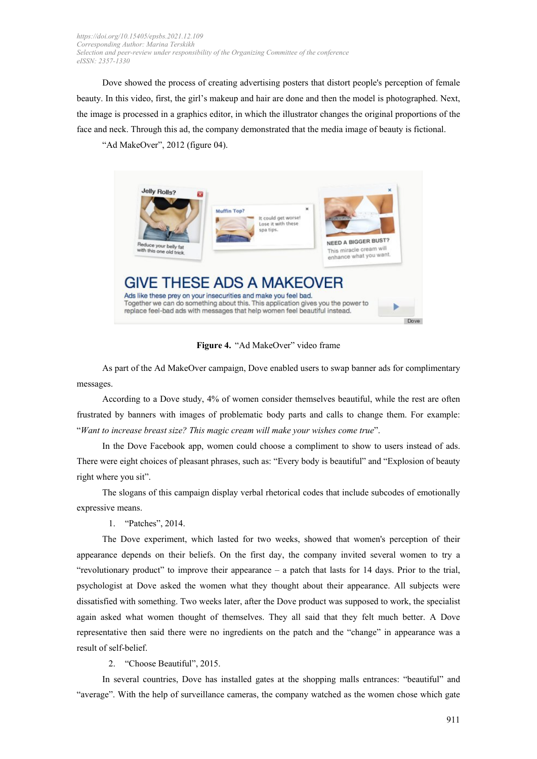Dove showed the process of creating advertising posters that distort people's perception of female beauty. In this video, first, the girl's makeup and hair are done and then the model is photographed. Next, the image is processed in a graphics editor, in which the illustrator changes the original proportions of the face and neck. Through this ad, the company demonstrated that the media image of beauty is fictional.

"Ad MakeOver", 2012 (figure 04).



**Figure 4.** "Ad MakeOver" video frame

As part of the Ad MakeOver campaign, Dove enabled users to swap banner ads for complimentary messages.

According to a Dove study, 4% of women consider themselves beautiful, while the rest are often frustrated by banners with images of problematic body parts and calls to change them. For example: "*Want to increase breast size? This magic cream will make your wishes come true*".

In the Dove Facebook app, women could choose a compliment to show to users instead of ads. There were eight choices of pleasant phrases, such as: "Every body is beautiful" and "Explosion of beauty right where you sit".

The slogans of this campaign display verbal rhetorical codes that include subcodes of emotionally expressive means.

1. "Patches", 2014.

The Dove experiment, which lasted for two weeks, showed that women's perception of their appearance depends on their beliefs. On the first day, the company invited several women to try a "revolutionary product" to improve their appearance – a patch that lasts for 14 days. Prior to the trial, psychologist at Dove asked the women what they thought about their appearance. All subjects were dissatisfied with something. Two weeks later, after the Dove product was supposed to work, the specialist again asked what women thought of themselves. They all said that they felt much better. A Dove representative then said there were no ingredients on the patch and the "change" in appearance was a result of self-belief.

2. "Choose Beautiful", 2015.

In several countries, Dove has installed gates at the shopping malls entrances: "beautiful" and "average". With the help of surveillance cameras, the company watched as the women chose which gate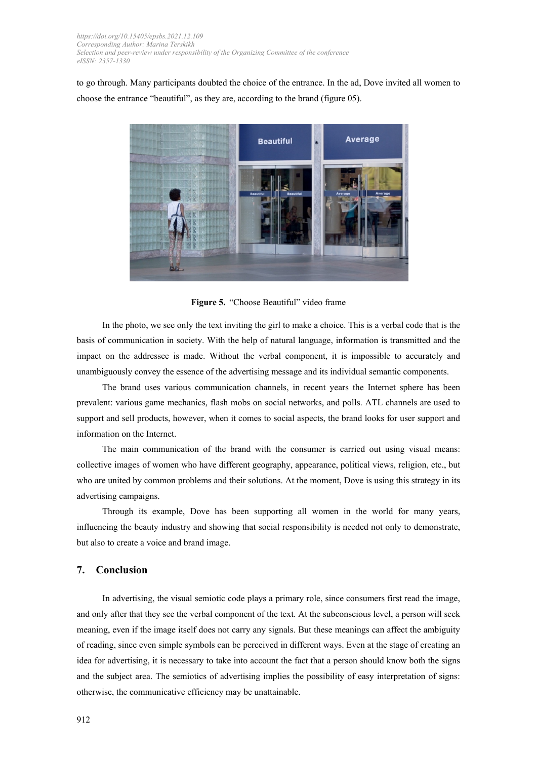to go through. Many participants doubted the choice of the entrance. In the ad, Dove invited all women to choose the entrance "beautiful", as they are, according to the brand (figure 05).



**Figure 5.** "Choose Beautiful" video frame

In the photo, we see only the text inviting the girl to make a choice. This is a verbal code that is the basis of communication in society. With the help of natural language, information is transmitted and the impact on the addressee is made. Without the verbal component, it is impossible to accurately and unambiguously convey the essence of the advertising message and its individual semantic components.

The brand uses various communication channels, in recent years the Internet sphere has been prevalent: various game mechanics, flash mobs on social networks, and polls. ATL channels are used to support and sell products, however, when it comes to social aspects, the brand looks for user support and information on the Internet.

The main communication of the brand with the consumer is carried out using visual means: collective images of women who have different geography, appearance, political views, religion, etc., but who are united by common problems and their solutions. At the moment, Dove is using this strategy in its advertising campaigns.

Through its example, Dove has been supporting all women in the world for many years, influencing the beauty industry and showing that social responsibility is needed not only to demonstrate, but also to create a voice and brand image.

## **7. Conclusion**

In advertising, the visual semiotic code plays a primary role, since consumers first read the image, and only after that they see the verbal component of the text. At the subconscious level, a person will seek meaning, even if the image itself does not carry any signals. But these meanings can affect the ambiguity of reading, since even simple symbols can be perceived in different ways. Even at the stage of creating an idea for advertising, it is necessary to take into account the fact that a person should know both the signs and the subject area. The semiotics of advertising implies the possibility of easy interpretation of signs: otherwise, the communicative efficiency may be unattainable.